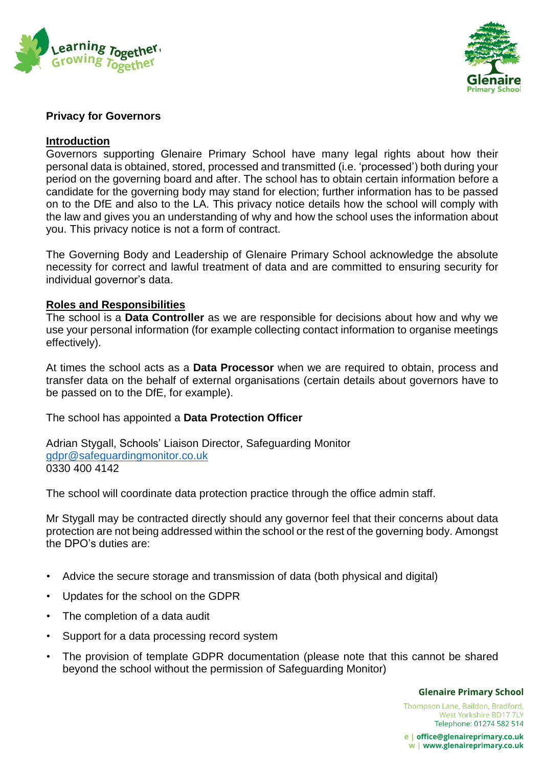



# **Privacy for Governors**

# **Introduction**

Governors supporting Glenaire Primary School have many legal rights about how their personal data is obtained, stored, processed and transmitted (i.e. 'processed') both during your period on the governing board and after. The school has to obtain certain information before a candidate for the governing body may stand for election; further information has to be passed on to the DfE and also to the LA. This privacy notice details how the school will comply with the law and gives you an understanding of why and how the school uses the information about you. This privacy notice is not a form of contract.

The Governing Body and Leadership of Glenaire Primary School acknowledge the absolute necessity for correct and lawful treatment of data and are committed to ensuring security for individual governor's data.

# **Roles and Responsibilities**

The school is a **Data Controller** as we are responsible for decisions about how and why we use your personal information (for example collecting contact information to organise meetings effectively).

At times the school acts as a **Data Processor** when we are required to obtain, process and transfer data on the behalf of external organisations (certain details about governors have to be passed on to the DfE, for example).

The school has appointed a **Data Protection Officer**

Adrian Stygall, Schools' Liaison Director, Safeguarding Monitor [gdpr@safeguardingmonitor.co.uk](mailto:gdpr@safeguardingmonitor.co.uk) 0330 400 4142

The school will coordinate data protection practice through the office admin staff.

Mr Stygall may be contracted directly should any governor feel that their concerns about data protection are not being addressed within the school or the rest of the governing body. Amongst the DPO's duties are:

- Advice the secure storage and transmission of data (both physical and digital)
- Updates for the school on the GDPR
- The completion of a data audit
- Support for a data processing record system
- The provision of template GDPR documentation (please note that this cannot be shared beyond the school without the permission of Safeguarding Monitor)

#### **Glenaire Primary School**

Thompson Lane, Baildon, Bradford, West Yorkshire BD17 7LY Telephone: 01274 582 514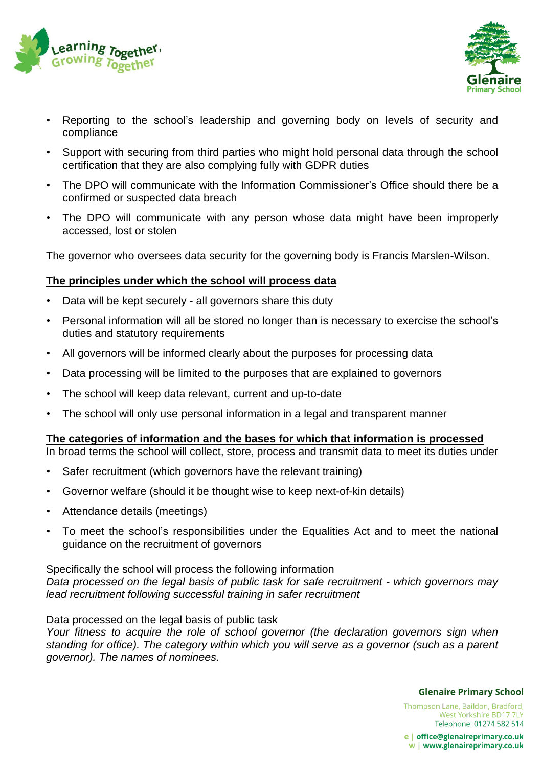



- Reporting to the school's leadership and governing body on levels of security and compliance
- Support with securing from third parties who might hold personal data through the school certification that they are also complying fully with GDPR duties
- The DPO will communicate with the Information Commissioner's Office should there be a confirmed or suspected data breach
- The DPO will communicate with any person whose data might have been improperly accessed, lost or stolen

The governor who oversees data security for the governing body is Francis Marslen-Wilson.

# **The principles under which the school will process data**

- Data will be kept securely all governors share this duty
- Personal information will all be stored no longer than is necessary to exercise the school's duties and statutory requirements
- All governors will be informed clearly about the purposes for processing data
- Data processing will be limited to the purposes that are explained to governors
- The school will keep data relevant, current and up-to-date
- The school will only use personal information in a legal and transparent manner

### **The categories of information and the bases for which that information is processed**

In broad terms the school will collect, store, process and transmit data to meet its duties under

- Safer recruitment (which governors have the relevant training)
- Governor welfare (should it be thought wise to keep next-of-kin details)
- Attendance details (meetings)
- To meet the school's responsibilities under the Equalities Act and to meet the national guidance on the recruitment of governors

Specifically the school will process the following information *Data processed on the legal basis of public task for safe recruitment - which governors may lead recruitment following successful training in safer recruitment*

Data processed on the legal basis of public task

*Your fitness to acquire the role of school governor (the declaration governors sign when standing for office). The category within which you will serve as a governor (such as a parent governor). The names of nominees.*

**Glenaire Primary School** 

Thompson Lane, Baildon, Bradford, West Yorkshire BD17 7LY Telephone: 01274 582 514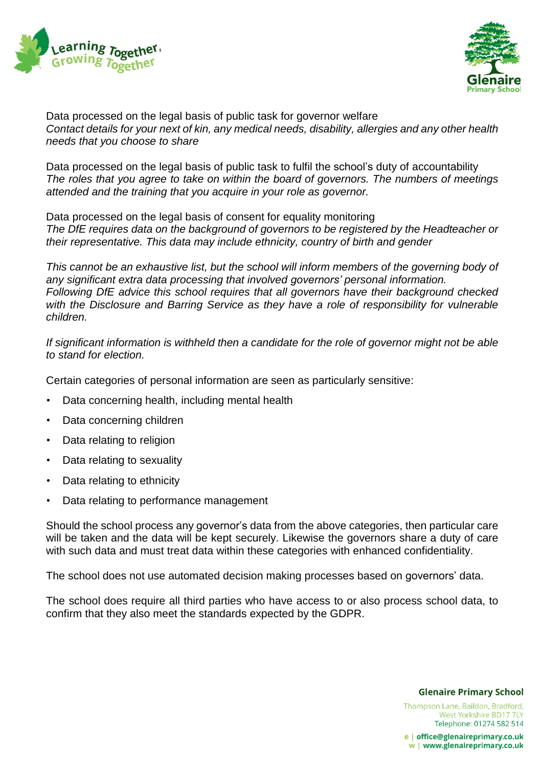



Data processed on the legal basis of public task for governor welfare *Contact details for your next of kin, any medical needs, disability, allergies and any other health needs that you choose to share*

Data processed on the legal basis of public task to fulfil the school's duty of accountability *The roles that you agree to take on within the board of governors. The numbers of meetings attended and the training that you acquire in your role as governor.*

Data processed on the legal basis of consent for equality monitoring *The DfE requires data on the background of governors to be registered by the Headteacher or their representative. This data may include ethnicity, country of birth and gender*

*This cannot be an exhaustive list, but the school will inform members of the governing body of any significant extra data processing that involved governors' personal information. Following DfE advice this school requires that all governors have their background checked with the Disclosure and Barring Service as they have a role of responsibility for vulnerable children.*

*If significant information is withheld then a candidate for the role of governor might not be able to stand for election.*

Certain categories of personal information are seen as particularly sensitive:

- Data concerning health, including mental health
- Data concerning children
- Data relating to religion
- Data relating to sexuality
- Data relating to ethnicity
- Data relating to performance management

Should the school process any governor's data from the above categories, then particular care will be taken and the data will be kept securely. Likewise the governors share a duty of care with such data and must treat data within these categories with enhanced confidentiality.

The school does not use automated decision making processes based on governors' data.

The school does require all third parties who have access to or also process school data, to confirm that they also meet the standards expected by the GDPR.

#### **Glenaire Primary School**

Thompson Lane, Baildon, Bradford, West Yorkshire BD17 7LY Telephone: 01274 582 514